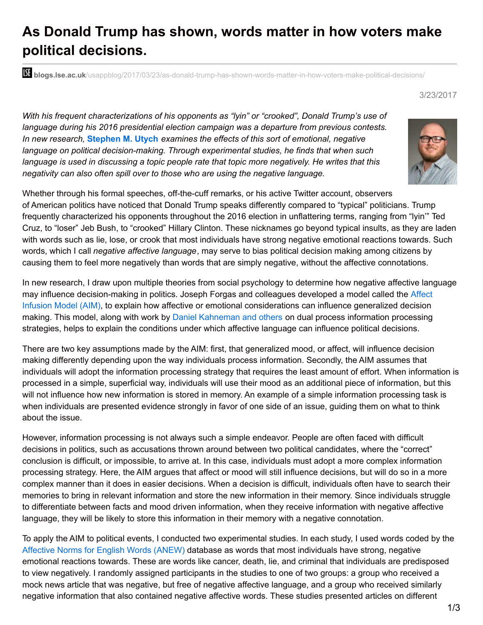## **As Donald Trump has shown, words matter in how voters make political decisions.**

**blogs.lse.ac.uk**[/usappblog/2017/03/23/as-donald-trump-has-shown-words-matter-in-how-voters-make-political-decisions/](http://blogs.lse.ac.uk/usappblog/2017/03/23/as-donald-trump-has-shown-words-matter-in-how-voters-make-political-decisions/)

## 3/23/2017

*With his frequent characterizations of his opponents as "lyin" or "crooked", Donald Trump's use of language during his 2016 presidential election campaign was a departure from previous contests. In new research,* **[Stephen](http://wp.me/p3I2YF-6Dv#Author) M. Utych** *examines the effects of this sort of emotional, negative language on political decision-making. Through experimental studies, he finds that when such language is used in discussing a topic people rate that topic more negatively. He writes that this negativity can also often spill over to those who are using the negative language.*



Whether through his formal speeches, off-the-cuff remarks, or his active Twitter account, observers of American politics have noticed that Donald Trump speaks differently compared to "typical" politicians. Trump frequently characterized his opponents throughout the 2016 election in unflattering terms, ranging from "lyin'" Ted Cruz, to "loser" Jeb Bush, to "crooked" Hillary Clinton. These nicknames go beyond typical insults, as they are laden with words such as lie, lose, or crook that most individuals have strong negative emotional reactions towards. Such words, which I call *negative affective language*, may serve to bias political decision making among citizens by causing them to feel more negatively than words that are simply negative, without the affective connotations.

In new research, I draw upon multiple theories from social psychology to determine how negative affective language may influence [decision-making](https://en.wikipedia.org/wiki/Affect_infusion_model) in politics. Joseph Forgas and colleagues developed a model called the Affect Infusion Model (AIM), to explain how affective or emotional considerations can influence generalized decision making. This model, along with work by Daniel [Kahneman](https://en.wikipedia.org/wiki/Dual_process_theory) and others on dual process information processing strategies, helps to explain the conditions under which affective language can influence political decisions.

There are two key assumptions made by the AIM: first, that generalized mood, or affect, will influence decision making differently depending upon the way individuals process information. Secondly, the AIM assumes that individuals will adopt the information processing strategy that requires the least amount of effort. When information is processed in a simple, superficial way, individuals will use their mood as an additional piece of information, but this will not influence how new information is stored in memory. An example of a simple information processing task is when individuals are presented evidence strongly in favor of one side of an issue, guiding them on what to think about the issue.

However, information processing is not always such a simple endeavor. People are often faced with difficult decisions in politics, such as accusations thrown around between two political candidates, where the "correct" conclusion is difficult, or impossible, to arrive at. In this case, individuals must adopt a more complex information processing strategy. Here, the AIM argues that affect or mood will still influence decisions, but will do so in a more complex manner than it does in easier decisions. When a decision is difficult, individuals often have to search their memories to bring in relevant information and store the new information in their memory. Since individuals struggle to differentiate between facts and mood driven information, when they receive information with negative affective language, they will be likely to store this information in their memory with a negative connotation.

To apply the AIM to political events, I conducted two experimental studies. In each study, I used words coded by the [Affective](http://csea.phhp.ufl.edu/index.html) Norms for English Words (ANEW) database as words that most individuals have strong, negative emotional reactions towards. These are words like cancer, death, lie, and criminal that individuals are predisposed to view negatively. I randomly assigned participants in the studies to one of two groups: a group who received a mock news article that was negative, but free of negative affective language, and a group who received similarly negative information that also contained negative affective words. These studies presented articles on different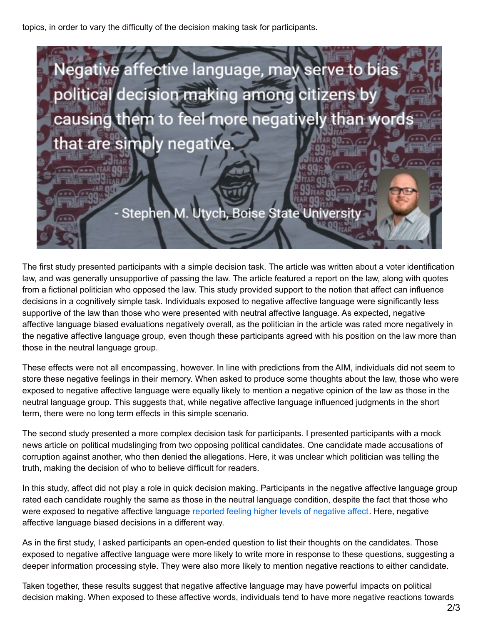topics, in order to vary the difficulty of the decision making task for participants.



The first study presented participants with a simple decision task. The article was written about a voter identification law, and was generally unsupportive of passing the law. The article featured a report on the law, along with quotes from a fictional politician who opposed the law. This study provided support to the notion that affect can influence decisions in a cognitively simple task. Individuals exposed to negative affective language were significantly less supportive of the law than those who were presented with neutral affective language. As expected, negative affective language biased evaluations negatively overall, as the politician in the article was rated more negatively in the negative affective language group, even though these participants agreed with his position on the law more than those in the neutral language group.

These effects were not all encompassing, however. In line with predictions from the AIM, individuals did not seem to store these negative feelings in their memory. When asked to produce some thoughts about the law, those who were exposed to negative affective language were equally likely to mention a negative opinion of the law as those in the neutral language group. This suggests that, while negative affective language influenced judgments in the short term, there were no long term effects in this simple scenario.

The second study presented a more complex decision task for participants. I presented participants with a mock news article on political mudslinging from two opposing political candidates. One candidate made accusations of corruption against another, who then denied the allegations. Here, it was unclear which politician was telling the truth, making the decision of who to believe difficult for readers.

In this study, affect did not play a role in quick decision making. Participants in the negative affective language group rated each candidate roughly the same as those in the neutral language condition, despite the fact that those who were exposed to negative affective language reported feeling higher levels of [negative](https://en.wikipedia.org/wiki/Affect_measures) affect. Here, negative affective language biased decisions in a different way.

As in the first study, I asked participants an open-ended question to list their thoughts on the candidates. Those exposed to negative affective language were more likely to write more in response to these questions, suggesting a deeper information processing style. They were also more likely to mention negative reactions to either candidate.

Taken together, these results suggest that negative affective language may have powerful impacts on political decision making. When exposed to these affective words, individuals tend to have more negative reactions towards